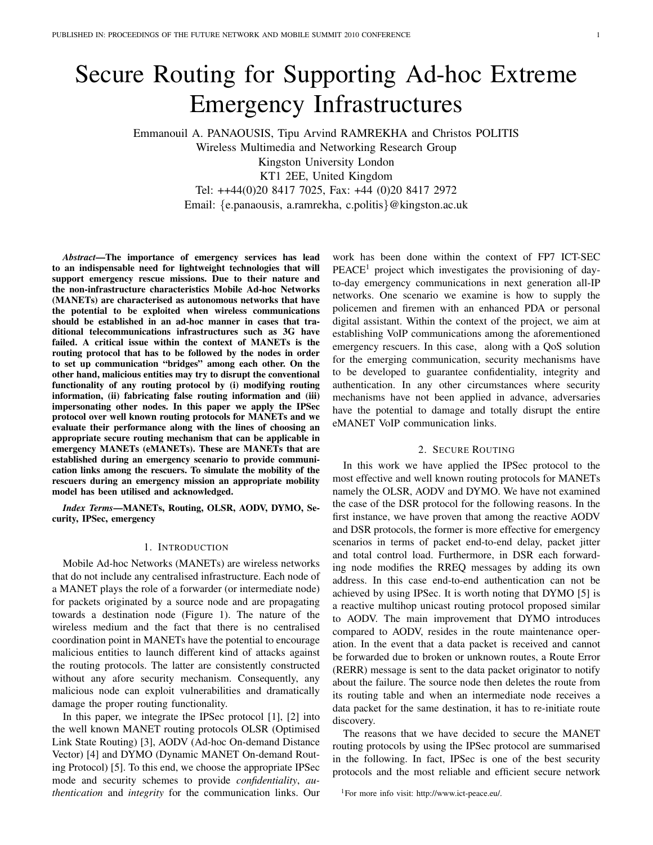# Secure Routing for Supporting Ad-hoc Extreme Emergency Infrastructures

Emmanouil A. PANAOUSIS, Tipu Arvind RAMREKHA and Christos POLITIS Wireless Multimedia and Networking Research Group Kingston University London KT1 2EE, United Kingdom Tel: ++44(0)20 8417 7025, Fax: +44 (0)20 8417 2972 Email: {e.panaousis, a.ramrekha, c.politis}@kingston.ac.uk

*Abstract*—The importance of emergency services has lead to an indispensable need for lightweight technologies that will support emergency rescue missions. Due to their nature and the non-infrastructure characteristics Mobile Ad-hoc Networks (MANETs) are characterised as autonomous networks that have the potential to be exploited when wireless communications should be established in an ad-hoc manner in cases that traditional telecommunications infrastructures such as 3G have failed. A critical issue within the context of MANETs is the routing protocol that has to be followed by the nodes in order to set up communication "bridges" among each other. On the other hand, malicious entities may try to disrupt the conventional functionality of any routing protocol by (i) modifying routing information, (ii) fabricating false routing information and (iii) impersonating other nodes. In this paper we apply the IPSec protocol over well known routing protocols for MANETs and we evaluate their performance along with the lines of choosing an appropriate secure routing mechanism that can be applicable in emergency MANETs (eMANETs). These are MANETs that are established during an emergency scenario to provide communication links among the rescuers. To simulate the mobility of the rescuers during an emergency mission an appropriate mobility model has been utilised and acknowledged.

*Index Terms*—MANETs, Routing, OLSR, AODV, DYMO, Security, IPSec, emergency

#### 1. INTRODUCTION

Mobile Ad-hoc Networks (MANETs) are wireless networks that do not include any centralised infrastructure. Each node of a MANET plays the role of a forwarder (or intermediate node) for packets originated by a source node and are propagating towards a destination node (Figure 1). The nature of the wireless medium and the fact that there is no centralised coordination point in MANETs have the potential to encourage malicious entities to launch different kind of attacks against the routing protocols. The latter are consistently constructed without any afore security mechanism. Consequently, any malicious node can exploit vulnerabilities and dramatically damage the proper routing functionality.

In this paper, we integrate the IPSec protocol [1], [2] into the well known MANET routing protocols OLSR (Optimised Link State Routing) [3], AODV (Ad-hoc On-demand Distance Vector) [4] and DYMO (Dynamic MANET On-demand Routing Protocol) [5]. To this end, we choose the appropriate IPSec mode and security schemes to provide *confidentiality*, *authentication* and *integrity* for the communication links. Our

work has been done within the context of FP7 ICT-SEC  $PEACE<sup>1</sup>$  project which investigates the provisioning of dayto-day emergency communications in next generation all-IP networks. One scenario we examine is how to supply the policemen and firemen with an enhanced PDA or personal digital assistant. Within the context of the project, we aim at establishing VoIP communications among the aforementioned emergency rescuers. In this case, along with a QoS solution for the emerging communication, security mechanisms have to be developed to guarantee confidentiality, integrity and authentication. In any other circumstances where security mechanisms have not been applied in advance, adversaries have the potential to damage and totally disrupt the entire eMANET VoIP communication links.

# 2. SECURE ROUTING

In this work we have applied the IPSec protocol to the most effective and well known routing protocols for MANETs namely the OLSR, AODV and DYMO. We have not examined the case of the DSR protocol for the following reasons. In the first instance, we have proven that among the reactive AODV and DSR protocols, the former is more effective for emergency scenarios in terms of packet end-to-end delay, packet jitter and total control load. Furthermore, in DSR each forwarding node modifies the RREQ messages by adding its own address. In this case end-to-end authentication can not be achieved by using IPSec. It is worth noting that DYMO [5] is a reactive multihop unicast routing protocol proposed similar to AODV. The main improvement that DYMO introduces compared to AODV, resides in the route maintenance operation. In the event that a data packet is received and cannot be forwarded due to broken or unknown routes, a Route Error (RERR) message is sent to the data packet originator to notify about the failure. The source node then deletes the route from its routing table and when an intermediate node receives a data packet for the same destination, it has to re-initiate route discovery.

The reasons that we have decided to secure the MANET routing protocols by using the IPSec protocol are summarised in the following. In fact, IPSec is one of the best security protocols and the most reliable and efficient secure network

<sup>1</sup>For more info visit: http://www.ict-peace.eu/.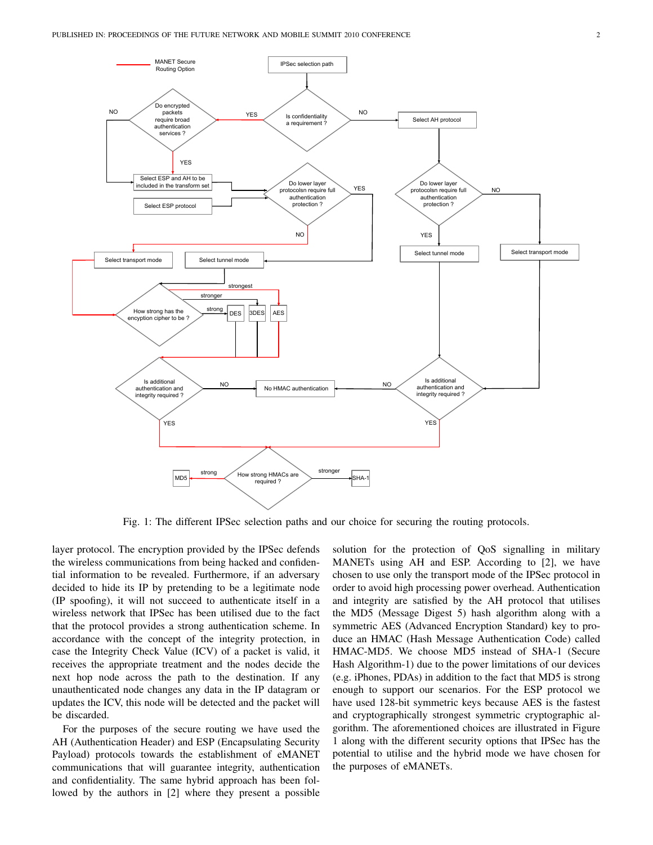

Fig. 1: The different IPSec selection paths and our choice for securing the routing protocols.

layer protocol. The encryption provided by the IPSec defends the wireless communications from being hacked and confidential information to be revealed. Furthermore, if an adversary decided to hide its IP by pretending to be a legitimate node (IP spoofing), it will not succeed to authenticate itself in a wireless network that IPSec has been utilised due to the fact that the protocol provides a strong authentication scheme. In accordance with the concept of the integrity protection, in case the Integrity Check Value (ICV) of a packet is valid, it receives the appropriate treatment and the nodes decide the next hop node across the path to the destination. If any unauthenticated node changes any data in the IP datagram or updates the ICV, this node will be detected and the packet will be discarded.

For the purposes of the secure routing we have used the AH (Authentication Header) and ESP (Encapsulating Security Payload) protocols towards the establishment of eMANET communications that will guarantee integrity, authentication and confidentiality. The same hybrid approach has been followed by the authors in [2] where they present a possible solution for the protection of QoS signalling in military MANETs using AH and ESP. According to [2], we have chosen to use only the transport mode of the IPSec protocol in order to avoid high processing power overhead. Authentication and integrity are satisfied by the AH protocol that utilises the MD5 (Message Digest 5) hash algorithm along with a symmetric AES (Advanced Encryption Standard) key to produce an HMAC (Hash Message Authentication Code) called HMAC-MD5. We choose MD5 instead of SHA-1 (Secure Hash Algorithm-1) due to the power limitations of our devices (e.g. iPhones, PDAs) in addition to the fact that MD5 is strong enough to support our scenarios. For the ESP protocol we have used 128-bit symmetric keys because AES is the fastest and cryptographically strongest symmetric cryptographic algorithm. The aforementioned choices are illustrated in Figure 1 along with the different security options that IPSec has the potential to utilise and the hybrid mode we have chosen for the purposes of eMANETs.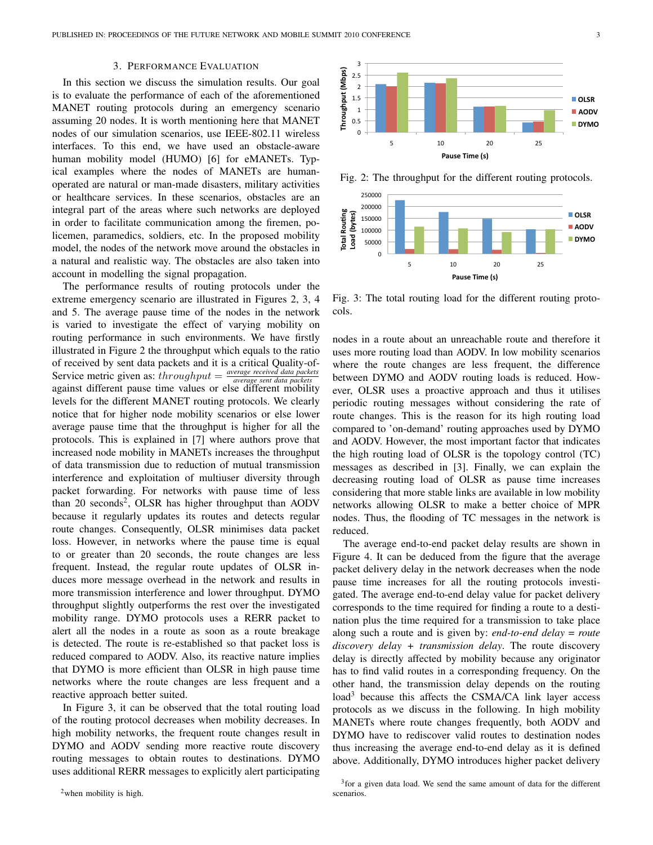# 3. PERFORMANCE EVALUATION

In this section we discuss the simulation results. Our goal is to evaluate the performance of each of the aforementioned MANET routing protocols during an emergency scenario assuming 20 nodes. It is worth mentioning here that MANET nodes of our simulation scenarios, use IEEE-802.11 wireless interfaces. To this end, we have used an obstacle-aware human mobility model (HUMO) [6] for eMANETs. Typical examples where the nodes of MANETs are humanoperated are natural or man-made disasters, military activities or healthcare services. In these scenarios, obstacles are an integral part of the areas where such networks are deployed in order to facilitate communication among the firemen, policemen, paramedics, soldiers, etc. In the proposed mobility model, the nodes of the network move around the obstacles in a natural and realistic way. The obstacles are also taken into account in modelling the signal propagation.

The performance results of routing protocols under the extreme emergency scenario are illustrated in Figures 2, 3, 4 and 5. The average pause time of the nodes in the network is varied to investigate the effect of varying mobility on routing performance in such environments. We have firstly illustrated in Figure 2 the throughput which equals to the ratio of received by sent data packets and it is a critical Quality-of-Service metric given as:  $throughput = \frac{average received data packets}{average sent data packets}$ *average sent data packe* against different pause time values or else different mobility levels for the different MANET routing protocols. We clearly notice that for higher node mobility scenarios or else lower average pause time that the throughput is higher for all the protocols. This is explained in [7] where authors prove that increased node mobility in MANETs increases the throughput of data transmission due to reduction of mutual transmission interference and exploitation of multiuser diversity through packet forwarding. For networks with pause time of less than 20 seconds<sup>2</sup>, OLSR has higher throughput than AODV because it regularly updates its routes and detects regular route changes. Consequently, OLSR minimises data packet loss. However, in networks where the pause time is equal to or greater than 20 seconds, the route changes are less frequent. Instead, the regular route updates of OLSR induces more message overhead in the network and results in more transmission interference and lower throughput. DYMO throughput slightly outperforms the rest over the investigated mobility range. DYMO protocols uses a RERR packet to alert all the nodes in a route as soon as a route breakage is detected. The route is re-established so that packet loss is reduced compared to AODV. Also, its reactive nature implies that DYMO is more efficient than OLSR in high pause time networks where the route changes are less frequent and a reactive approach better suited.

In Figure 3, it can be observed that the total routing load of the routing protocol decreases when mobility decreases. In high mobility networks, the frequent route changes result in DYMO and AODV sending more reactive route discovery routing messages to obtain routes to destinations. DYMO uses additional RERR messages to explicitly alert participating



Fig. 2: The throughput for the different routing protocols.



Fig. 3: The total routing load for the different routing protocols.

nodes in a route about an unreachable route and therefore it uses more routing load than AODV. In low mobility scenarios where the route changes are less frequent, the difference between DYMO and AODV routing loads is reduced. However, OLSR uses a proactive approach and thus it utilises periodic routing messages without considering the rate of route changes. This is the reason for its high routing load compared to 'on-demand' routing approaches used by DYMO and AODV. However, the most important factor that indicates the high routing load of OLSR is the topology control (TC) messages as described in [3]. Finally, we can explain the decreasing routing load of OLSR as pause time increases considering that more stable links are available in low mobility networks allowing OLSR to make a better choice of MPR nodes. Thus, the flooding of TC messages in the network is reduced.

The average end-to-end packet delay results are shown in Figure 4. It can be deduced from the figure that the average packet delivery delay in the network decreases when the node pause time increases for all the routing protocols investigated. The average end-to-end delay value for packet delivery corresponds to the time required for finding a route to a destination plus the time required for a transmission to take place along such a route and is given by: *end-to-end delay* = *route discovery delay + transmission delay*. The route discovery delay is directly affected by mobility because any originator has to find valid routes in a corresponding frequency. On the other hand, the transmission delay depends on the routing load<sup>3</sup> because this affects the CSMA/CA link layer access protocols as we discuss in the following. In high mobility MANETs where route changes frequently, both AODV and DYMO have to rediscover valid routes to destination nodes thus increasing the average end-to-end delay as it is defined above. Additionally, DYMO introduces higher packet delivery

<sup>&</sup>lt;sup>3</sup> for a given data load. We send the same amount of data for the different scenarios.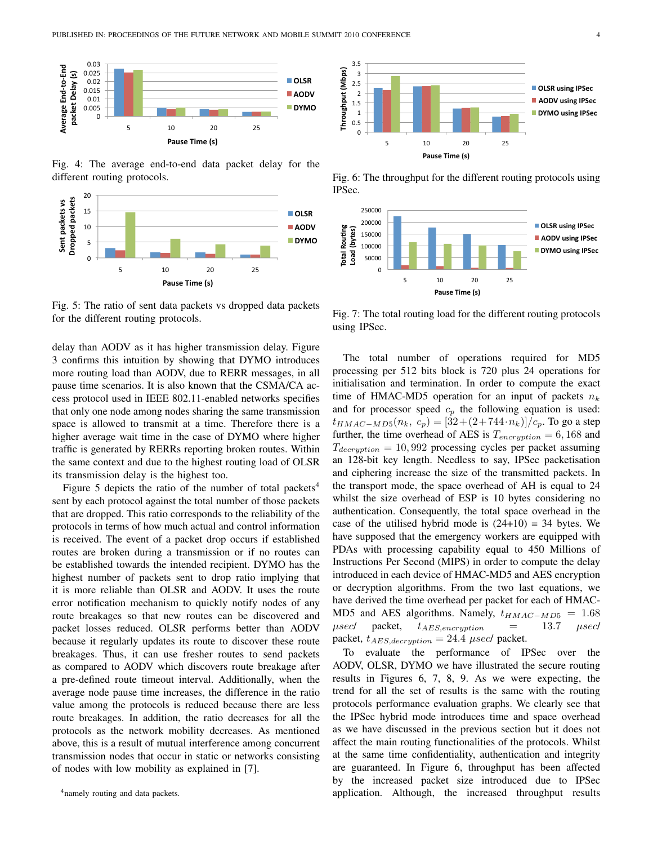

Fig. 4: The average end-to-end data packet delay for the different routing protocols.



Fig. 5: The ratio of sent data packets vs dropped data packets for the different routing protocols.

delay than AODV as it has higher transmission delay. Figure 3 confirms this intuition by showing that DYMO introduces more routing load than AODV, due to RERR messages, in all pause time scenarios. It is also known that the CSMA/CA access protocol used in IEEE 802.11-enabled networks specifies that only one node among nodes sharing the same transmission space is allowed to transmit at a time. Therefore there is a higher average wait time in the case of DYMO where higher traffic is generated by RERRs reporting broken routes. Within the same context and due to the highest routing load of OLSR its transmission delay is the highest too.

Figure 5 depicts the ratio of the number of total packets<sup>4</sup> sent by each protocol against the total number of those packets that are dropped. This ratio corresponds to the reliability of the protocols in terms of how much actual and control information is received. The event of a packet drop occurs if established routes are broken during a transmission or if no routes can be established towards the intended recipient. DYMO has the highest number of packets sent to drop ratio implying that it is more reliable than OLSR and AODV. It uses the route error notification mechanism to quickly notify nodes of any route breakages so that new routes can be discovered and packet losses reduced. OLSR performs better than AODV because it regularly updates its route to discover these route breakages. Thus, it can use fresher routes to send packets as compared to AODV which discovers route breakage after a pre-defined route timeout interval. Additionally, when the average node pause time increases, the difference in the ratio value among the protocols is reduced because there are less route breakages. In addition, the ratio decreases for all the protocols as the network mobility decreases. As mentioned above, this is a result of mutual interference among concurrent transmission nodes that occur in static or networks consisting of nodes with low mobility as explained in [7].



Fig. 6: The throughput for the different routing protocols using IPSec.



Fig. 7: The total routing load for the different routing protocols using IPSec.

The total number of operations required for MD5 processing per 512 bits block is 720 plus 24 operations for initialisation and termination. In order to compute the exact time of HMAC-MD5 operation for an input of packets  $n_k$ and for processor speed  $c_p$  the following equation is used:  $t_{HMAC-MD5}(n_k, c_p) = [32 + (2 + 744 \cdot n_k)]/c_p$ . To go a step further, the time overhead of AES is  $T_{encryption} = 6,168$  and  $T_{decryption} = 10,992$  processing cycles per packet assuming an 128-bit key length. Needless to say, IPSec packetisation and ciphering increase the size of the transmitted packets. In the transport mode, the space overhead of AH is equal to 24 whilst the size overhead of ESP is 10 bytes considering no authentication. Consequently, the total space overhead in the case of the utilised hybrid mode is  $(24+10) = 34$  bytes. We have supposed that the emergency workers are equipped with PDAs with processing capability equal to 450 Millions of Instructions Per Second (MIPS) in order to compute the delay introduced in each device of HMAC-MD5 and AES encryption or decryption algorithms. From the two last equations, we have derived the time overhead per packet for each of HMAC-MD5 and AES algorithms. Namely,  $t_{HMAC-MD5} = 1.68$  $\mu$ sec/ packet,  $t_{AES, encryption}$  = 13.7  $\mu$ sec/ packet,  $t_{AES, decryption} = 24.4 \mu sec/$  packet.

To evaluate the performance of IPSec over the AODV, OLSR, DYMO we have illustrated the secure routing results in Figures 6, 7, 8, 9. As we were expecting, the trend for all the set of results is the same with the routing protocols performance evaluation graphs. We clearly see that the IPSec hybrid mode introduces time and space overhead as we have discussed in the previous section but it does not affect the main routing functionalities of the protocols. Whilst at the same time confidentiality, authentication and integrity are guaranteed. In Figure 6, throughput has been affected by the increased packet size introduced due to IPSec application. Although, the increased throughput results

<sup>&</sup>lt;sup>4</sup> namely routing and data packets.